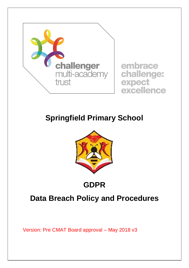

embrace challenge: expect excellence

# **Springfield Primary School**



# **GDPR**

# **Data Breach Policy and Procedures**

Version: Pre CMAT Board approval – May 2018 v3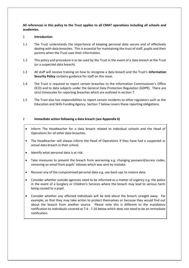**All references in this policy to the Trust applies to all CMAT operations including all schools and academies.**

#### 1 **Introduction**

- 1.1 The Trust understands the importance of keeping personal data secure and of effectively dealing with data breaches. This is essential for maintaining the trust of staff, pupils and their parents when the Trust uses their information.
- 1.2 This policy and procedure is to be used by the Trust in the event of a data breach at the Trust (or a suspected data breach).
- 1.3 All staff will receive training on how to recognise a data breach and the Trust's **Information Security Policy** contains guidance for staff on this issue.
- 1.4 The Trust is required to report certain breaches to the Information Commissioner's Office (ICO) and to data subjects under the General Data Protection Regulation (GDPR). There are strict timescales for reporting breaches which are outlined in section [7.](#page-6-0)
- 1.5 The Trust also has responsibilities to report certain incidents to other regulators such as the Education and Skills Funding Agency. Section [7](#page-6-0) below covers these reporting obligations.

#### 2 **Immediate action following a data breach (see Appendix 6)**

- Inform The Headteacher for a data breach related to individual schools and the Head of Operations for all other data breaches.
- The Headteacher will always inform the Head of Operations if they have had a suspected or actual data breach in their school.
- Identify what personal data is at risk.
- Take measures to prevent the breach from worsening e.g. changing password/access codes, removing an email from pupils' inboxes which was sent by mistake.
- Recover any of the compromised personal data e.g. use back-ups to restore data.
- Consider whether outside agencies need to be informed as a matter of urgency e.g. the police in the event of a burglary or Children's Services where the breach may lead to serious harm being caused to a pupil.
- Consider whether any affected individuals will be told about the breach straight away. For example, so that they may take action to protect themselves or because they would find out about the breach from another source. Please note this is different to the mandatory notification to individuals covered at [7.6](#page-8-0) - [7.10](#page-8-1) below which does not need to be an immediate notification.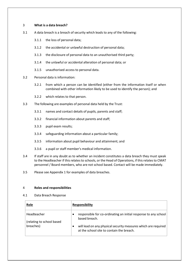#### 3 **What is a data breach?**

- 3.1 A data breach is a breach of security which leads to any of the following:
	- 3.1.1 the loss of personal data;
	- 3.1.2 the accidental or unlawful destruction of personal data;
	- 3.1.3 the disclosure of personal data to an unauthorised third party;
	- 3.1.4 the unlawful or accidental alteration of personal data; or
	- 3.1.5 unauthorised access to personal data.
- 3.2 Personal data is information:
	- 3.2.1 from which a person can be identified (either from the information itself or when combined with other information likely to be used to identify the person); and
	- 3.2.2 which relates to that person.
- 3.3 The following are examples of personal data held by the Trust:
	- 3.3.1 names and contact details of pupils, parents and staff;
	- 3.3.2 financial information about parents and staff;
	- 3.3.3 pupil exam results;
	- 3.3.4 safeguarding information about a particular family;
	- 3.3.5 information about pupil behaviour and attainment; and
	- 3.3.6 a pupil or staff member's medical information.
- 3.4 If staff are in any doubt as to whether an incident constitutes a data breach they must speak to the Headteacher if this relates to schools, or the Head of Operations, if this relates to CMAT personnel / Board members, who are not school based. Contact will be made immediately.
- 3.5 Please see [Appendix 1](#page-12-0) for examples of data breaches.

#### 4 **Roles and responsibilities**

4.1 Data Breach Response

| Role                                                   | <b>Responsibility</b>                                                                                                                                                                           |
|--------------------------------------------------------|-------------------------------------------------------------------------------------------------------------------------------------------------------------------------------------------------|
| Headteacher<br>(relating to school based)<br>breaches) | responsible for co-ordinating an initial response to any school<br>based breach.<br>will lead on any physical security measures which are required<br>at the school site to contain the breach. |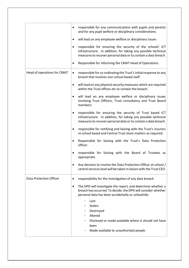|                             | responsible for any communications with pupils and parents<br>and for any pupil welfare or disciplinary considerations.                                                                            |
|-----------------------------|----------------------------------------------------------------------------------------------------------------------------------------------------------------------------------------------------|
|                             | will lead on any employee welfare or disciplinary issues<br>٠                                                                                                                                      |
|                             | responsible for ensuring the security of the schools' ICT<br>٠<br>infrastructure. In addition, for taking any possible technical<br>measures to recover personal data or to contain a data breach. |
|                             | Responsible for informing the CMAT Head of Operations.                                                                                                                                             |
| Head of operations for CMAT | responsible for co-ordinating the Trust's initial response to any<br>$\bullet$<br>breach that involves non-school based staff.                                                                     |
|                             | will lead on any physical security measures which are required<br>within the Trust offices etc to contain the breach.                                                                              |
|                             | will lead on any employee welfare or disciplinary issues<br>٠<br>involving Trust Officers, Trust consultancy and Trust Board<br>members                                                            |
|                             | responsible for ensuring the security of Trust based ICT<br>٠<br>infrastructure. In addition, for taking any possible technical<br>measures to recover personal data or to contain a data breach.  |
|                             | responsible for notifying and liaising with the Trust's insurers<br>٠<br>re school based and Central Trust team matters as required.                                                               |
|                             | Responsible for liaising with the Trust's Data Protection<br>officer.                                                                                                                              |
|                             | responsible for liaising with the Board of Trustees as<br>appropriate.                                                                                                                             |
|                             | Any decision to involve the Data Protection Officer at school /<br>central services level will be taken in liaison with the Trust CEO.                                                             |
| Data Protection Officer     | responsibility for the investigation of any data breach                                                                                                                                            |
|                             | The DPO will investigate the report, and determine whether a<br>breach has occurred. To decide, the DPO will consider whether<br>personal data has been accidentally or unlawfully:                |
|                             | Lost                                                                                                                                                                                               |
|                             | Stolen<br>Destroyed                                                                                                                                                                                |
|                             | Altered                                                                                                                                                                                            |
|                             | Disclosed or made available where it should not have<br>been                                                                                                                                       |
|                             | Made available to unauthorised people                                                                                                                                                              |
|                             |                                                                                                                                                                                                    |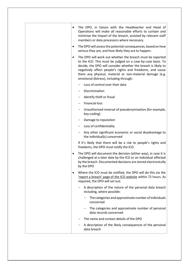| ٠         | The DPO, in liaison with the Headteacher and Head of<br>Operations will make all reasonable efforts to contain and<br>minimise the impact of the breach, assisted by relevant staff<br>members or data processors where necessary.                                                                                                                            |
|-----------|---------------------------------------------------------------------------------------------------------------------------------------------------------------------------------------------------------------------------------------------------------------------------------------------------------------------------------------------------------------|
| ٠         | The DPO will assess the potential consequences, based on how<br>serious they are, and how likely they are to happen.                                                                                                                                                                                                                                          |
|           | The DPO will work out whether the breach must be reported<br>to the ICO. This must be judged on a case-by-case basis. To<br>decide, the DPO will consider whether the breach is likely to<br>negatively affect people's rights and freedoms, and cause<br>them any physical, material or non-material damage (e.g.<br>emotional distress), including through: |
|           | Loss of control over their data                                                                                                                                                                                                                                                                                                                               |
|           | Discrimination                                                                                                                                                                                                                                                                                                                                                |
|           | Identify theft or fraud                                                                                                                                                                                                                                                                                                                                       |
|           | <b>Financial loss</b><br>$\qquad \qquad -$                                                                                                                                                                                                                                                                                                                    |
|           | Unauthorised reversal of pseudonymisation (for example,<br>$-$<br>key-coding)                                                                                                                                                                                                                                                                                 |
|           | Damage to reputation                                                                                                                                                                                                                                                                                                                                          |
|           | Loss of confidentiality<br>$-$                                                                                                                                                                                                                                                                                                                                |
|           | Any other significant economic or social disadvantage to<br>the individual(s) concerned                                                                                                                                                                                                                                                                       |
|           | If it's likely that there will be a risk to people's rights and<br>freedoms, the DPO must notify the ICO.                                                                                                                                                                                                                                                     |
| $\bullet$ | The DPO will document the decision (either way), in case it is<br>challenged at a later date by the ICO or an individual affected<br>by the breach. Documented decisions are stored electronically<br>by the DPO                                                                                                                                              |
| $\bullet$ | Where the ICO must be notified, the DPO will do this via the<br>'report a breach' page of the ICO website within 72 hours. As<br>required, the DPO will set out:                                                                                                                                                                                              |
|           | A description of the nature of the personal data breach<br>including, where possible:                                                                                                                                                                                                                                                                         |
|           | The categories and approximate number of individuals<br>concerned                                                                                                                                                                                                                                                                                             |
|           | The categories and approximate number of personal<br>data records concerned                                                                                                                                                                                                                                                                                   |
|           | The name and contact details of the DPO                                                                                                                                                                                                                                                                                                                       |
|           | A description of the likely consequences of the personal<br>data breach                                                                                                                                                                                                                                                                                       |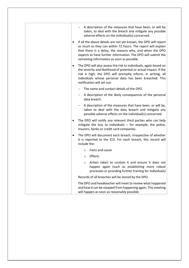| A description of the measures that have been, or will be<br>taken, to deal with the breach and mitigate any possible<br>adverse effects on the individual(s) concerned.                                                                                                                                    |
|------------------------------------------------------------------------------------------------------------------------------------------------------------------------------------------------------------------------------------------------------------------------------------------------------------|
| If all the above details are not yet known, the DPO will report<br>as much as they can within 72 hours. The report will explain<br>that there is a delay, the reasons why, and when the DPO<br>expects to have further information. The DPO will submit the<br>remaining information as soon as possible.  |
| The DPO will also assess the risk to individuals, again based on<br>$\bullet$<br>the severity and likelihood of potential or actual impact. If the<br>risk is high, the DPO will promptly inform, in writing, all<br>individuals whose personal data has been breached. This<br>notification will set out: |
| The name and contact details of the DPO.                                                                                                                                                                                                                                                                   |
| A description of the likely consequences of the personal<br>data breach.                                                                                                                                                                                                                                   |
| A description of the measures that have been, or will be,<br>taken to deal with the data breach and mitigate any<br>possible adverse effects on the individual(s) concerned.                                                                                                                               |
| The DPO will notify any relevant third parties who can help<br>mitigate the loss to individuals - for example, the police,<br>insurers, banks or credit card companies.                                                                                                                                    |
| The DPO will document each breach, irrespective of whether<br>٠<br>it is reported to the ICO. For each breach, this record will<br>include the:                                                                                                                                                            |
| Facts and cause<br>$\circ$                                                                                                                                                                                                                                                                                 |
| Effects<br>$\circ$                                                                                                                                                                                                                                                                                         |
| Action taken to contain it and ensure it does not<br>O<br>happen again (such as establishing more robust<br>processes or providing further training for individuals)                                                                                                                                       |
| Records of all breaches will be stored by the DPO.                                                                                                                                                                                                                                                         |
| The DPO and headteacher will meet to review what happened<br>and how it can be stopped from happening again. This meeting<br>will happen as soon as reasonably possible.                                                                                                                                   |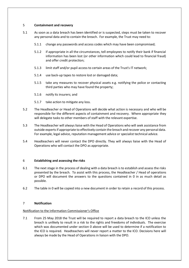#### 5 **Containment and recovery**

- 5.1 As soon as a data breach has been identified or is suspected, steps must be taken to recover any personal data and to contain the breach. For example, the Trust may need to:
	- 5.1.1 change any passwords and access codes which may have been compromised;
	- 5.1.2 if appropriate in all the circumstances, tell employees to notify their bank if financial information has been lost (or other information which could lead to financial fraud) and offer credit protection;
	- 5.1.3 limit staff and/or pupil access to certain areas of the Trust's IT network;
	- 5.1.4 use back-up tapes to restore lost or damaged data;
	- 5.1.5 take any measures to recover physical assets e.g. notifying the police or contacting third parties who may have found the property;
	- 5.1.6 notify its insurers; and
	- 5.1.7 take action to mitigate any loss.
- 5.2 The Headteacher or Head of Operations will decide what action is necessary and who will be responsible for the different aspects of containment and recovery. Where appropriate they will delegate tasks to other members of staff with the relevant expertise.
- <span id="page-6-2"></span>5.3 The Headteacher will always liaise with the Head of Operations who will seek assistance from outside experts if appropriate to effectively contain the breach and recover any personal data. For example, legal advice, reputation management advice or specialist technical advice.
- 5.4 Headteachers will never contact the DPO directly. They will always liaise with the Head of Operations who will contact the DPO as appropriate.

#### <span id="page-6-1"></span>6 **Establishing and assessing the risks**

- 6.1 The next stage in the process of dealing with a data breach is to establish and assess the risks presented by the breach. To assist with this process, the Headteacher / Head of operations or DPO will document the answers to the questions contained in [0](#page-12-1) in as much detail as possible.
- 6.2 The table in [0](#page-12-1) will be copied into a new document in order to retain a record of this process.

### <span id="page-6-0"></span>7 **Notification**

### Notification to the Information Commissioner's Office

7.1 From 25 May 2018 the Trust will be required to report a data breach to the ICO unless the breach is unlikely to result in a risk to the rights and freedoms of individuals. The exercise which was documented under section [0](#page-6-1) above will be used to determine if a notification to the ICO is required. Headteachers will never report a matter to the ICO. Decisions here will always be made by the Head of Operations in liaison with the DPO.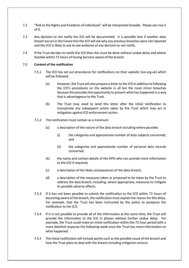- 7.2 "Risk to the Rights and freedoms of individuals" will be interpreted broadly. Please see row 5 o[f 0.](#page-12-1)
- 7.3 Any decision to not notify the ICO will be documented. It is possible that if another data breach occurs in the future that the ICO will ask why any previous breaches were not reported and the ICO is likely to ask to see evidence of any decision to not notify.
- 7.4 If the Trust decides to notify the ICO then this must be done without undue delay and where feasible within 72 hours of having become aware of the breach.

#### 7.5 **Content of the notification**

- 7.5.1 The ICO has set out procedures for notifications on their website (ico.org.uk) which will be followed.
	- (a) However, the Trust will also prepare a letter to the ICO in addition to following the ICO's procedures on the website in all but the most minor breaches because this provides the opportunity to present what has happened in a way that is advantageous to the Trust.
	- (b) The Trust may need to send this letter after the initial notification to incorporate any subsequent action taken by the Trust which may act in mitigation against ICO enforcement action.
- 7.5.2 The notification must contain as a minimum:
	- (a) a description of the nature of the data breach including where possible:
		- (i) the categories and approximate number of data subjects concerned; and
		- (ii) the categories and approximate number of personal data records concerned.
	- (b) the name and contact details of the DPO who can provide more information to the ICO if required;
	- (c) a description of the likely consequences of the data breach;
	- (d) a description of the measures taken or proposed to be taken by the Trust to address the data breach, including, where appropriate, measures to mitigate its possible adverse effects.
- 7.5.3 If it has not been possible to submit the notification to the ICO within 72 hours of becoming aware of the breach, the notification must explain the reason for this delay. For example, that the Trust has been instructed by the police to postpone the notification to the ICO.
- 7.5.4 If it is not possible to provide all of the information at the same time, the Trust will provide the information to the ICO in phases without further undue delay. For example, the Trust could make an initial notification within the 72 hour period with a more detailed response the following week once the Trust has more information on what happened.
- 7.5.5 The initial notification will include points such as the possible cause of the breach and how the Trust plans to deal with the breach including mitigation actions.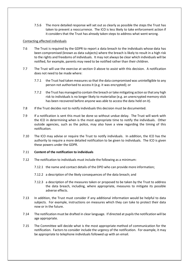7.5.6 The more detailed response will set out as clearly as possible the steps the Trust has taken to prevent a reoccurrence. The ICO is less likely to take enforcement action if it considers that the Trust has already taken steps to address what went wrong.

#### Contacting affected individuals

- <span id="page-8-0"></span>7.6 The Trust is required by the GDPR to report a data breach to the individuals whose data has been compromised (known as data subjects) where the breach is likely to result in a high risk to the rights and freedoms of individuals. It may not always be clear which individuals will be notified, for example, parents may need to be notified rather than their children.
- 7.7 The Trust will use the exercise at section [0](#page-6-1) above to assist with this decision. A notification does not need to be made where:
	- 7.7.1 the Trust had taken measures so that the data compromised was unintelligible to any person not authorised to access it (e.g. it was encrypted); or
	- 7.7.2 the Trust has managed to contain the breach or take mitigating action so that any high risk to individuals is no longer likely to materialise (e.g. an unencrypted memory stick has been recovered before anyone was able to access the data held on it).
- 7.8 If the Trust decides not to notify individuals this decision must be documented.
- 7.9 If a notification is sent this must be done so without undue delay. The Trust will work with the ICO in determining when is the most appropriate time to notify the individuals. Other outside agencies, such as the police, may also have a view regarding the timing of this notification.
- <span id="page-8-1"></span>7.10 The ICO may advise or require the Trust to notify individuals. In addition, the ICO has the authority to require a more detailed notification to be given to individuals. The ICO is given these powers under the GDPR.

#### 7.11 **Content of the notification to individuals**

- 7.12 The notification to individuals must include the following as a minimum:
	- 7.12.1 the name and contact details of the DPO who can provide more information;
	- 7.12.2 a description of the likely consequences of the data breach; and
	- 7.12.3 a description of the measures taken or proposed to be taken by the Trust to address the data breach, including, where appropriate, measures to mitigate its possible adverse effects.
- 7.13 In addition, the Trust must consider if any additional information would be helpful to data subjects. For example, instructions on measures which they can take to protect their data now or in the future.
- 7.14 The notification must be drafted in clear language. If directed at pupils the notification will be age appropriate.
- 7.15 The Committee will decide what is the most appropriate method of communication for the notification. Factors to consider include the urgency of the notification. For example, it may be appropriate to telephone individuals followed up with an email.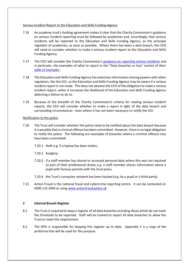#### Serious Incident Report to the Education and Skills Funding Agency

- 7.16 An academy trust's funding agreement makes it clear that the Charity Commission's guidance on serious incident reporting must be followed by academies and, accordingly, that serious incidents will be reported to the Education and Skills Funding Agency, as the principal regulator of academies, as soon as possible. Where there has been a data breach, the CEO will need to consider whether to make a serious incident report to the Education and Skills Funding Agency.
- 7.17 The CEO will consider the Charity Commission's [guidance on reporting serious incidents](https://www.gov.uk/guidance/how-to-report-a-serious-incident-in-your-charity) and in particular, the examples of what to report in the "Data breaches or loss" section of their [table of examples.](https://www.gov.uk/government/uploads/system/uploads/attachment_data/file/646315/Examples_table_what_to_report.pdf)
- 7.18 The Education and Skills Funding Agency has extensive information sharing powers with other regulators, like the ICO, so the Education and Skills Funding Agency may be aware if a serious incident report is not made. This does not absolve the CEO of the obligation to make a serious incident report, rather it increases the likelihood of the Education and Skills Funding Agency detecting a failure to do so.
- 7.19 Because of the breadth of the Charity Commission's criteria for making serious incident reports, the CEO will consider whether to make a report in light of the data breach and surrounding circumstances - even where it has not been necessary to notify the ICO.

#### Notification to the police

- 7.20 The Trust will consider whether the police need to be notified about the data breach because it is possible that a criminal offence has been committed. However, there is no legal obligation to notify the police. The following are examples of breaches where a criminal offence may have been committed:
	- 7.20.1 theft e.g. if a laptop has been stolen;
	- 7.20.2 burglary;
	- 7.20.3 if a staff member has shared or accessed personal data where this was not required as part of their professional duties e.g. a staff member shares information about a pupil with famous parents with the local press;
	- 7.20.4 the Trust's computer network has been hacked (e.g. by a pupil or a third party).
- 7.21 Action Fraud is the national fraud and cybercrime reporting centre. It can be contacted on 0300 123 2040 or using [www.actionfraud.police.uk](http://www.actionfraud.police.uk/)

#### 8 **Internal Breach Register**

- 8.1 The Trust is required to keep a register of all data breaches including those which do not meet the threshold to be reported. Staff will be trained to report all data breaches to allow the Trust to meet this requirement.
- 8.2 The DPO is responsible for keeping this register up to date. Appendix 5 is a copy of the proforma that will be used for this purpose.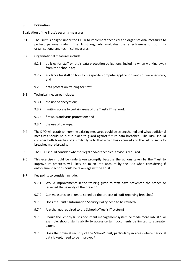#### 9 **Evaluation**

#### Evaluation of the Trust's security measures

- 9.1 The Trust is obliged under the GDPR to implement technical and organisational measures to protect personal data. The Trust regularly evaluates the effectiveness of both its organisational and technical measures.
- 9.2 Organisational measures include:
	- 9.2.1 policies for staff on their data protection obligations, including when working away from the School site;
	- 9.2.2 guidance for staff on how to use specific computer applications and software securely; and
	- 9.2.3 data protection training for staff.
- 9.3 Technical measures include:
	- 9.3.1 the use of encryption;
	- 9.3.2 limiting access to certain areas of the Trust's IT network;
	- 9.3.3 firewalls and virus protection; and
	- 9.3.4 the use of backups.
- 9.4 The DPO will establish how the existing measures could be strengthened and what additional measures should be put in place to guard against future data breaches. The DPO should consider both breaches of a similar type to that which has occurred and the risk of security breaches more broadly.
- 9.5 The DPO should consider whether legal and/or technical advice is required.
- 9.6 This exercise should be undertaken promptly because the actions taken by the Trust to improve its practices will likely be taken into account by the ICO when considering if enforcement action should be taken against the Trust.
- 9.7 Key points to consider include:
	- 9.7.1 Would improvements in the training given to staff have prevented the breach or lessened the severity of the breach?
	- 9.7.2 Can measures be taken to speed up the process of staff reporting breaches?
	- 9.7.3 Does the Trust's Information Security Policy need to be revised?
	- 9.7.4 Are changes required to the School's/Trust's IT system?
	- 9.7.5 Should the School/Trust's document management system be made more robust? For example, should staff's ability to access certain documents be limited to a greater extent.
	- 9.7.6 Does the physical security of the School/Trust, particularly in areas where personal data is kept, need to be improved?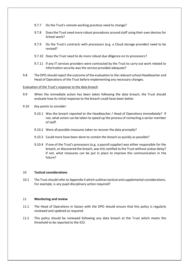- <span id="page-11-0"></span>9.7.7 Do the Trust's remote working practices need to change?
- 9.7.8 Does the Trust need more robust procedures around staff using their own devices for School work?
- 9.7.9 Do the Trust's contracts with processors (e.g. a Cloud storage provider) need to be revised?
- 9.7.10 Does the Trust need to do more robust due diligence on its processors?
- 9.7.11 If any IT services providers were contracted by the Trust to carry out work related to information security was the service provided adequate?
- 9.8 The DPO should report the outcome of the evaluation to the relevant school Headteacher and Head of Operations of the Trust before implementing any necessary changes.

Evaluation of the Trust's response to the data breach

- 9.9 When the immediate action has been taken following the data breach, the Trust should evaluate how its initial response to the breach could have been better.
- 9.10 Key points to consider:
	- 9.10.1 Was the breach reported to the Headteacher / Head of Operations immediately? If not, what action can be taken to speed up the process of contacting a senior member of staff.
	- 9.10.2 Were all possible measures taken to recover the data promptly?
	- 9.10.3 Could more have been done to contain the breach as quickly as possible?
	- 9.10.4 If one of the Trust's processors (e.g. a payroll supplier) was either responsible for the breach, or discovered the breach, was this notified to the Trust without undue delay? If not, what measures can be put in place to improve this communication in the future?

#### 10 **Tactical considerations**

10.1 The Trust should refer t[o Appendix 4](#page-17-0) which outlines tactical and supplemental considerations. For example, is any pupil disciplinary action required?

#### 11 **Monitoring and review**

- 11.1 The Head of Operations in liaison with the DPO should ensure that this policy is regularly reviewed and updated as required.
- 11.2 This policy should be reviewed following any data breach at the Trust which meets the threshold to be reported to the ICO.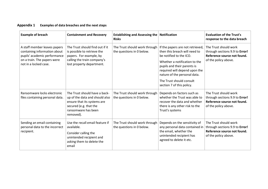### **Appendix 1 Examples of data breaches and the next steps**

<span id="page-12-2"></span><span id="page-12-1"></span><span id="page-12-0"></span>

| <b>Example of breach</b>                                                                                                                             | <b>Containment and Recovery</b>                                                                                                                              | <b>Establishing and Assessing the Notification</b><br><b>Risks</b> |                                                                                                                                                                                                                                                                                        | <b>Evaluation of the Trust's</b><br>response to the data breach                                                |
|------------------------------------------------------------------------------------------------------------------------------------------------------|--------------------------------------------------------------------------------------------------------------------------------------------------------------|--------------------------------------------------------------------|----------------------------------------------------------------------------------------------------------------------------------------------------------------------------------------------------------------------------------------------------------------------------------------|----------------------------------------------------------------------------------------------------------------|
| A staff member leaves papers<br>containing information about<br>pupils' academic performance<br>on a train. The papers were<br>not in a locked case. | The Trust should find out if it<br>is possible to retrieve the<br>papers. For example, by<br>calling the train company's<br>lost property department.        | The Trust should work through<br>the questions in 0 below.         | If the papers are not retrieved,<br>then this breach will need to<br>be notified to the ICO.<br>Whether a notification to the<br>pupils and their parents is<br>required will depend upon the<br>nature of the personal data.<br>The Trust should consult<br>section 7 of this policy. | The Trust should work<br>through sections 9.9 to Error!<br>Reference source not found.<br>of the policy above. |
| Ransomware locks electronic<br>files containing personal data.                                                                                       | The Trust should have a back-<br>up of the data and should also<br>ensure that its systems are<br>secured (e.g. that the<br>ransomware has been<br>removed). | The Trust should work through<br>the questions in 0 below.         | Depends on factors such as<br>whether the Trust was able to<br>recover the data and whether<br>there is any other risk to the<br>Trust's systems                                                                                                                                       | The Trust should work<br>through sections 9.9 to Error!<br>Reference source not found.<br>of the policy above. |
| Sending an email containing<br>personal data to the incorrect<br>recipient.                                                                          | Use the recall email feature if<br>available.<br>Consider calling the<br>unintended recipient and<br>asking them to delete the<br>email                      | The Trust should work through<br>the questions in 0 below.         | Depends on the sensitivity of<br>any personal data contained in<br>the email, whether the<br>unintended recipient has<br>agreed to delete it etc.                                                                                                                                      | The Trust should work<br>through sections 9.9 to Error!<br>Reference source not found.<br>of the policy above. |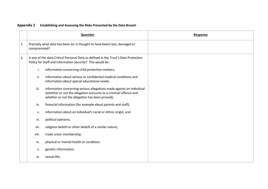|    | Question                                                                                                                                         |                                                                                                                                                                                              | Response |
|----|--------------------------------------------------------------------------------------------------------------------------------------------------|----------------------------------------------------------------------------------------------------------------------------------------------------------------------------------------------|----------|
| 1. | Precisely what data has been (or is thought to have been) lost, damaged or<br>compromised?                                                       |                                                                                                                                                                                              |          |
| 2. | Is any of the data Critical Personal Data as defined in the Trust's Data Protection<br>Policy for Staff and Information Security? This would be: |                                                                                                                                                                                              |          |
|    | i.                                                                                                                                               | information concerning child protection matters;                                                                                                                                             |          |
|    | ii.<br>information about serious or confidential medical conditions and<br>information about special educational needs;                          |                                                                                                                                                                                              |          |
|    | iii.                                                                                                                                             | information concerning serious allegations made against an individual<br>(whether or not the allegation amounts to a criminal offence and<br>whether or not the allegation has been proved); |          |
|    | financial information (for example about parents and staff);<br>iv.                                                                              |                                                                                                                                                                                              |          |
|    | information about an individual's racial or ethnic origin; and<br>v.                                                                             |                                                                                                                                                                                              |          |
|    | political opinions;<br>vi.                                                                                                                       |                                                                                                                                                                                              |          |
|    | religious beliefs or other beliefs of a similar nature;<br>vii.                                                                                  |                                                                                                                                                                                              |          |
|    | viii.<br>trade union membership;                                                                                                                 |                                                                                                                                                                                              |          |
|    | ix.                                                                                                                                              | physical or mental health or condition;                                                                                                                                                      |          |
|    | x.                                                                                                                                               | genetic information;                                                                                                                                                                         |          |
|    | xi.                                                                                                                                              | sexual life;                                                                                                                                                                                 |          |

## **Appendix 2 Establishing and Assessing the Risks Presented by the Data Breach**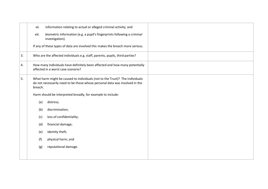|    | information relating to actual or alleged criminal activity; and<br>xii.                                                                                               |
|----|------------------------------------------------------------------------------------------------------------------------------------------------------------------------|
|    | biometric information (e.g. a pupil's fingerprints following a criminal<br>xiii.<br>investigation).                                                                    |
|    | If any of these types of data are involved this makes the breach more serious.                                                                                         |
| 3. | Who are the affected individuals e.g. staff, parents, pupils, third parties?                                                                                           |
| 4. | How many individuals have definitely been affected and how many potentially<br>affected in a worst case scenario?                                                      |
| 5. | What harm might be caused to individuals (not to the Trust)? The individuals<br>do not necessarily need to be those whose personal data was involved in the<br>breach. |
|    | Harm should be interpreted broadly, for example to include:                                                                                                            |
|    | distress;<br>(a)                                                                                                                                                       |
|    | discrimination;<br>(b)                                                                                                                                                 |
|    | loss of confidentiality;<br>(c)                                                                                                                                        |
|    | financial damage;<br>(d)                                                                                                                                               |
|    | identity theft;<br>(e)                                                                                                                                                 |
|    | (f)<br>physical harm; and                                                                                                                                              |
|    | reputational damage.<br>(g)                                                                                                                                            |
|    |                                                                                                                                                                        |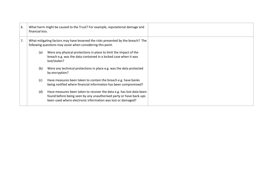| 6. | What harm might be caused to the Trust? For example, reputational damage and<br>financial loss.                                                 |                                                                                                                                                                                                           |  |  |
|----|-------------------------------------------------------------------------------------------------------------------------------------------------|-----------------------------------------------------------------------------------------------------------------------------------------------------------------------------------------------------------|--|--|
| 7. | What mitigating factors may have lessened the risks presented by the breach? The<br>following questions may assist when considering this point. |                                                                                                                                                                                                           |  |  |
|    | (a)                                                                                                                                             | Were any physical protections in place to limit the impact of the<br>breach e.g. was the data contained in a locked case when it was<br>lost/stolen?                                                      |  |  |
|    | (b)                                                                                                                                             | Were any technical protections in place e.g. was the data protected<br>by encryption?                                                                                                                     |  |  |
|    | (c)                                                                                                                                             | Have measures been taken to contain the breach e.g. have banks<br>being notified where financial information has been compromised?                                                                        |  |  |
|    | (d)                                                                                                                                             | Have measures been taken to recover the data e.g. has lost data been<br>found before being seen by any unauthorised party or have back-ups<br>been used where electronic information was lost or damaged? |  |  |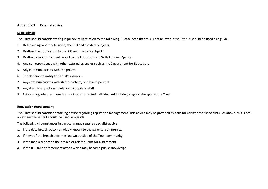#### **Appendix 3 External advice**

#### **Legal advice**

The Trust should consider taking legal advice in relation to the following. Please note that this is not an exhaustive list but should be used as a guide.

- 1. Determining whether to notify the ICO and the data subjects.
- 2. Drafting the notification to the ICO and the data subjects.
- 3. Drafting a serious incident report to the Education and Skills Funding Agency.
- 4. Any correspondence with other external agencies such as the Department for Education.
- 5. Any communications with the police.
- 6. The decision to notify the Trust's insurers.
- 7. Any communications with staff members, pupils and parents.
- 8. Any disciplinary action in relation to pupils or staff.
- 9. Establishing whether there is a risk that an affected individual might bring a legal claim against the Trust.

#### **Reputation management**

The Trust should consider obtaining advice regarding reputation management. This advice may be provided by solicitors or by other specialists. As above, this is not an exhaustive list but should be used as a guide.

The following circumstances in particular may require specialist advice:

- 1. If the data breach becomes widely known to the parental community.
- 2. If news of the breach becomes known outside of the Trust community.
- 3. If the media report on the breach or ask the Trust for a statement.
- 4. If the ICO take enforcement action which may become public knowledge.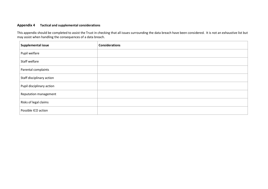### **Appendix 4 Tactical and supplemental considerations**

This appendix should be completed to assist the Trust in checking that all issues surrounding the data breach have been considered. It is not an exhaustive list but may assist when handling the consequences of a data breach.

<span id="page-17-0"></span>

| Supplemental issue        | <b>Considerations</b> |  |  |  |
|---------------------------|-----------------------|--|--|--|
| Pupil welfare             |                       |  |  |  |
| Staff welfare             |                       |  |  |  |
| Parental complaints       |                       |  |  |  |
| Staff disciplinary action |                       |  |  |  |
| Pupil disciplinary action |                       |  |  |  |
| Reputation management     |                       |  |  |  |
| Risks of legal claims     |                       |  |  |  |
| Possible ICO action       |                       |  |  |  |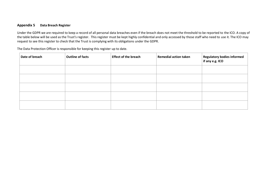#### **Appendix 5 Data Breach Register**

Under the GDPR we are required to keep a record of all personal data breaches even if the breach does not meet the threshold to be reported to the ICO. A copy of the table below will be used as the Trust's register. This register must be kept highly confidential and only accessed by those staff who need to use it. The ICO may request to see this register to check that the Trust is complying with its obligations under the GDPR.

The Data Protection Officer is responsible for keeping this register up to date.

| Date of breach | <b>Outline of facts</b> | <b>Effect of the breach</b> | <b>Remedial action taken</b> | Regulatory bodies informed<br>if any e.g. ICO |
|----------------|-------------------------|-----------------------------|------------------------------|-----------------------------------------------|
|                |                         |                             |                              |                                               |
|                |                         |                             |                              |                                               |
|                |                         |                             |                              |                                               |
|                |                         |                             |                              |                                               |
|                |                         |                             |                              |                                               |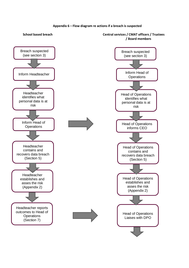#### **Appendix 6 – Flow diagram re actions if a breach is suspected**